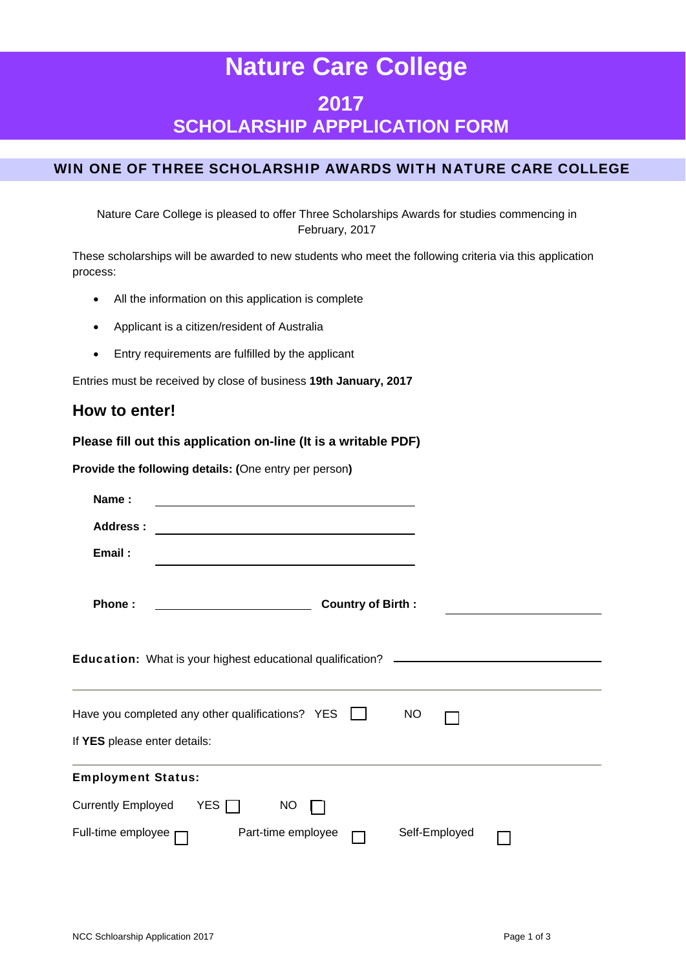# **Nature Care College 2017 SCHOLARSHIP APPPLICATION FORM**

# WIN ONE OF THREE SCHOLARSHIP AWARDS WITH NATURE CARE COLLEGE

Nature Care College is pleased to offer Three Scholarships Awards for studies commencing in February, 2017

These scholarships will be awarded to new students who meet the following criteria via this application process:

- All the information on this application is complete
- Applicant is a citizen/resident of Australia
- Entry requirements are fulfilled by the applicant

Entries must be received by close of business **19th January, 2017**

# **How to enter!**

### **Please fill out this application on-line (It is a writable PDF)**

**Provide the following details: (**One entry per person**)** 

| Name:                        | the control of the control of the control of the control of the control of the control of                                                                                                                                                                                                                 |  |
|------------------------------|-----------------------------------------------------------------------------------------------------------------------------------------------------------------------------------------------------------------------------------------------------------------------------------------------------------|--|
| Address:                     |                                                                                                                                                                                                                                                                                                           |  |
| Email:                       |                                                                                                                                                                                                                                                                                                           |  |
| Phone:                       | <b>Country of Birth:</b>                                                                                                                                                                                                                                                                                  |  |
|                              | <b>Education:</b> What is your highest educational qualification?<br><u>and the state of the state of the state of the state of the state of the state of the state of the state of the state of the state of the state of the state of the state of the state of the state of the state of the state</u> |  |
|                              | Have you completed any other qualifications? $YES$<br>NO                                                                                                                                                                                                                                                  |  |
| If YES please enter details: |                                                                                                                                                                                                                                                                                                           |  |
| <b>Employment Status:</b>    |                                                                                                                                                                                                                                                                                                           |  |
| <b>Currently Employed</b>    | YES [<br><b>NO</b>                                                                                                                                                                                                                                                                                        |  |
| Full-time employee           | Part-time employee<br>Self-Employed                                                                                                                                                                                                                                                                       |  |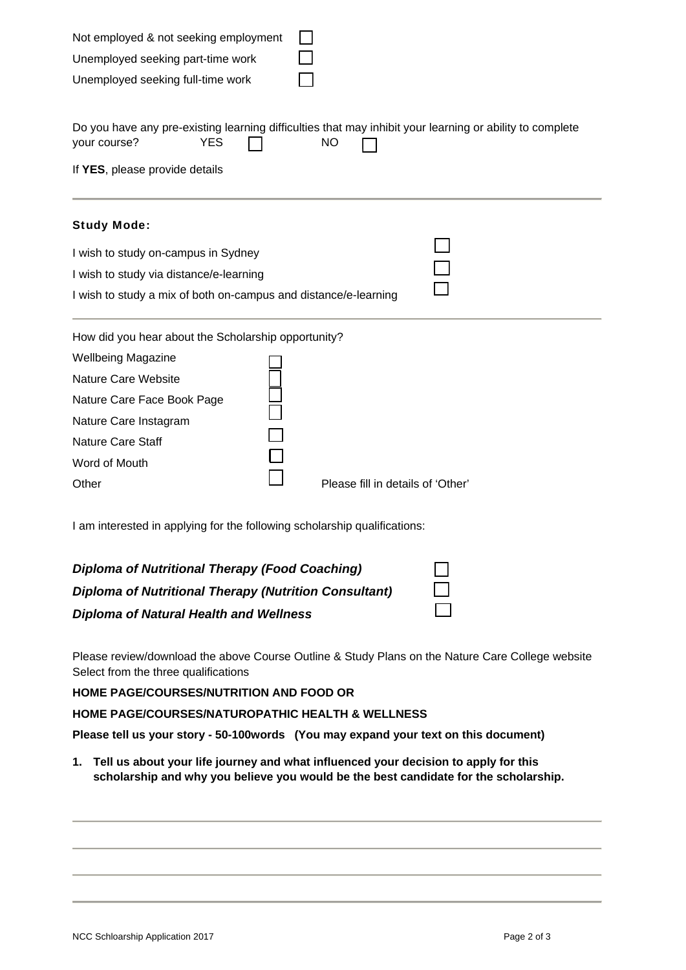| Not employed & not seeking employment                           |                                                                                                                       |  |  |  |  |
|-----------------------------------------------------------------|-----------------------------------------------------------------------------------------------------------------------|--|--|--|--|
| Unemployed seeking part-time work                               |                                                                                                                       |  |  |  |  |
| Unemployed seeking full-time work                               |                                                                                                                       |  |  |  |  |
| your course?<br><b>YES</b><br>If YES, please provide details    | Do you have any pre-existing learning difficulties that may inhibit your learning or ability to complete<br><b>NO</b> |  |  |  |  |
| <b>Study Mode:</b>                                              |                                                                                                                       |  |  |  |  |
| I wish to study on-campus in Sydney                             |                                                                                                                       |  |  |  |  |
| I wish to study via distance/e-learning                         |                                                                                                                       |  |  |  |  |
| I wish to study a mix of both on-campus and distance/e-learning |                                                                                                                       |  |  |  |  |
| How did you hear about the Scholarship opportunity?             |                                                                                                                       |  |  |  |  |
| <b>Wellbeing Magazine</b>                                       |                                                                                                                       |  |  |  |  |
| <b>Nature Care Website</b>                                      |                                                                                                                       |  |  |  |  |
| Nature Care Face Book Page                                      |                                                                                                                       |  |  |  |  |
| Nature Care Instagram                                           |                                                                                                                       |  |  |  |  |
| <b>Nature Care Staff</b>                                        |                                                                                                                       |  |  |  |  |
| Word of Mouth                                                   |                                                                                                                       |  |  |  |  |
| Other                                                           | Please fill in details of 'Other'                                                                                     |  |  |  |  |

I am interested in applying for the following scholarship qualifications:

| <b>Diploma of Nutritional Therapy (Food Coaching)</b>        |  |
|--------------------------------------------------------------|--|
| <b>Diploma of Nutritional Therapy (Nutrition Consultant)</b> |  |
| <b>Diploma of Natural Health and Wellness</b>                |  |

Please review/download the above Course Outline & Study Plans on the Nature Care College website Select from the three qualifications

**HOME PAGE/COURSES/NUTRITION AND FOOD OR** 

**HOME PAGE/COURSES/NATUROPATHIC HEALTH & WELLNESS**

**Please tell us your story - 50-100words (You may expand your text on this document)** 

**1. Tell us about your life journey and what influenced your decision to apply for this scholarship and why you believe you would be the best candidate for the scholarship.**